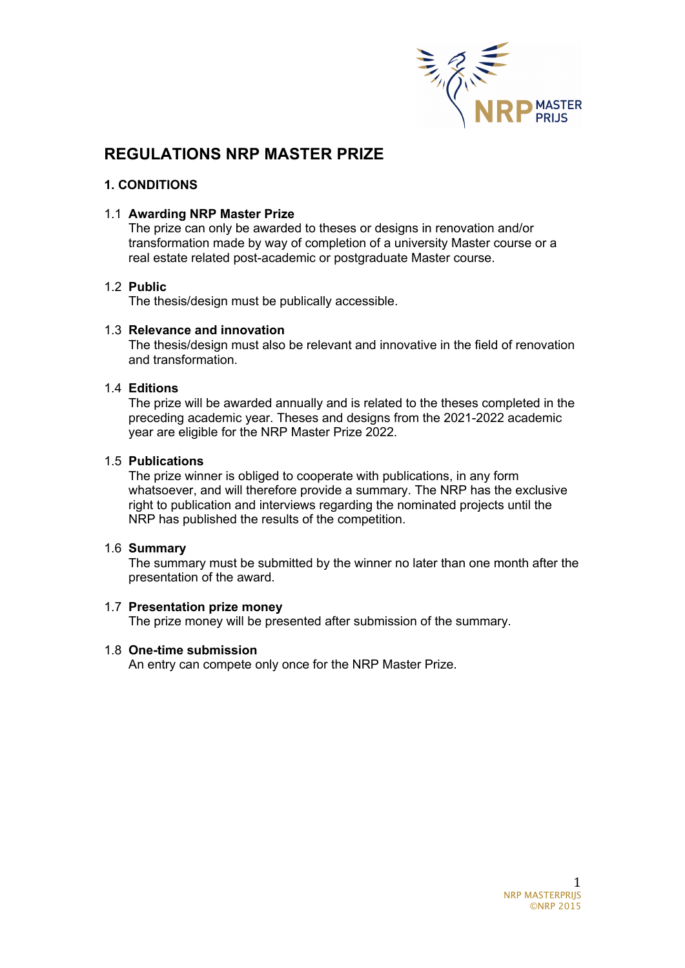

# **REGULATIONS NRP MASTER PRIZE**

# **1. CONDITIONS**

### 1.1 **Awarding NRP Master Prize**

The prize can only be awarded to theses or designs in renovation and/or transformation made by way of completion of a university Master course or a real estate related post-academic or postgraduate Master course.

#### 1.2 **Public**

The thesis/design must be publically accessible.

#### 1.3 **Relevance and innovation**

The thesis/design must also be relevant and innovative in the field of renovation and transformation.

## 1.4 **Editions**

The prize will be awarded annually and is related to the theses completed in the preceding academic year. Theses and designs from the 2021-2022 academic year are eligible for the NRP Master Prize 2022.

#### 1.5 **Publications**

The prize winner is obliged to cooperate with publications, in any form whatsoever, and will therefore provide a summary. The NRP has the exclusive right to publication and interviews regarding the nominated projects until the NRP has published the results of the competition.

#### 1.6 **Summary**

The summary must be submitted by the winner no later than one month after the presentation of the award.

#### 1.7 **Presentation prize money**

The prize money will be presented after submission of the summary.

#### 1.8 **One-time submission**

An entry can compete only once for the NRP Master Prize.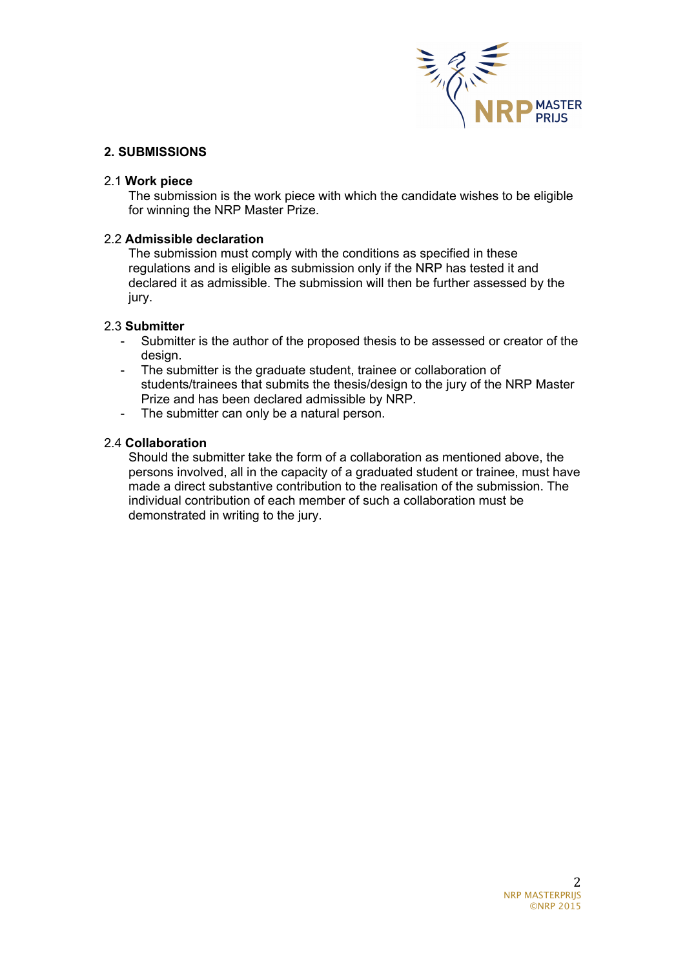

## **2. SUBMISSIONS**

### 2.1 **Work piece**

The submission is the work piece with which the candidate wishes to be eligible for winning the NRP Master Prize.

#### 2.2 **Admissible declaration**

The submission must comply with the conditions as specified in these regulations and is eligible as submission only if the NRP has tested it and declared it as admissible. The submission will then be further assessed by the jury.

#### 2.3 **Submitter**

- Submitter is the author of the proposed thesis to be assessed or creator of the design.
- The submitter is the graduate student, trainee or collaboration of students/trainees that submits the thesis/design to the jury of the NRP Master Prize and has been declared admissible by NRP.
- The submitter can only be a natural person.

## 2.4 **Collaboration**

Should the submitter take the form of a collaboration as mentioned above, the persons involved, all in the capacity of a graduated student or trainee, must have made a direct substantive contribution to the realisation of the submission. The individual contribution of each member of such a collaboration must be demonstrated in writing to the jury.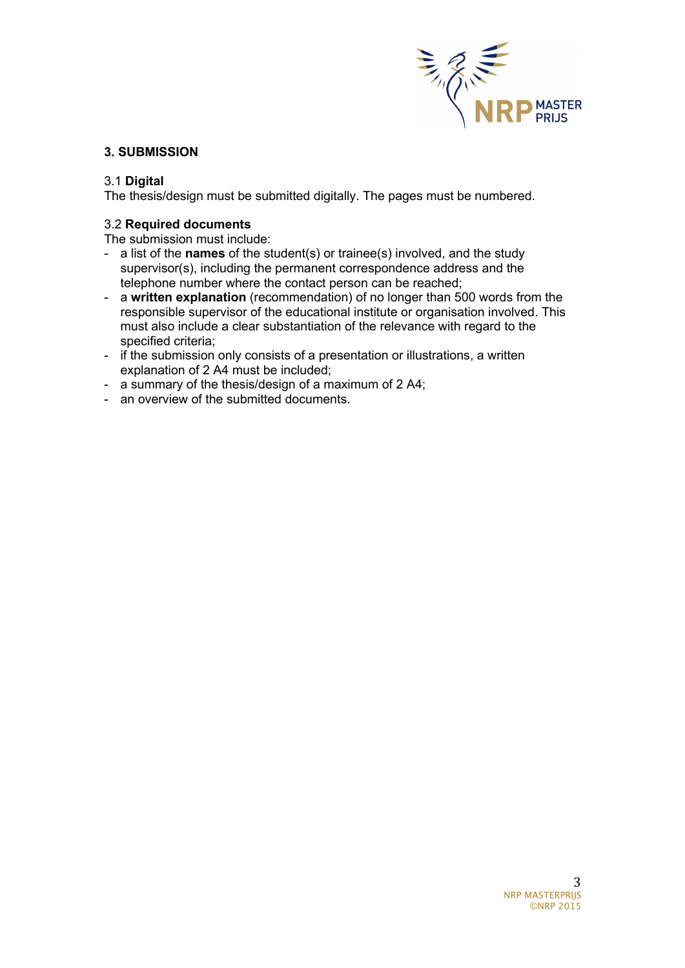

# **3. SUBMISSION**

# 3.1 **Digital**

The thesis/design must be submitted digitally. The pages must be numbered.

# 3.2 **Required documents**

The submission must include:

- a list of the **names** of the student(s) or trainee(s) involved, and the study supervisor(s), including the permanent correspondence address and the telephone number where the contact person can be reached;
- a **written explanation** (recommendation) of no longer than 500 words from the responsible supervisor of the educational institute or organisation involved. This must also include a clear substantiation of the relevance with regard to the specified criteria;
- if the submission only consists of a presentation or illustrations, a written explanation of 2 A4 must be included;
- a summary of the thesis/design of a maximum of 2 A4;
- an overview of the submitted documents.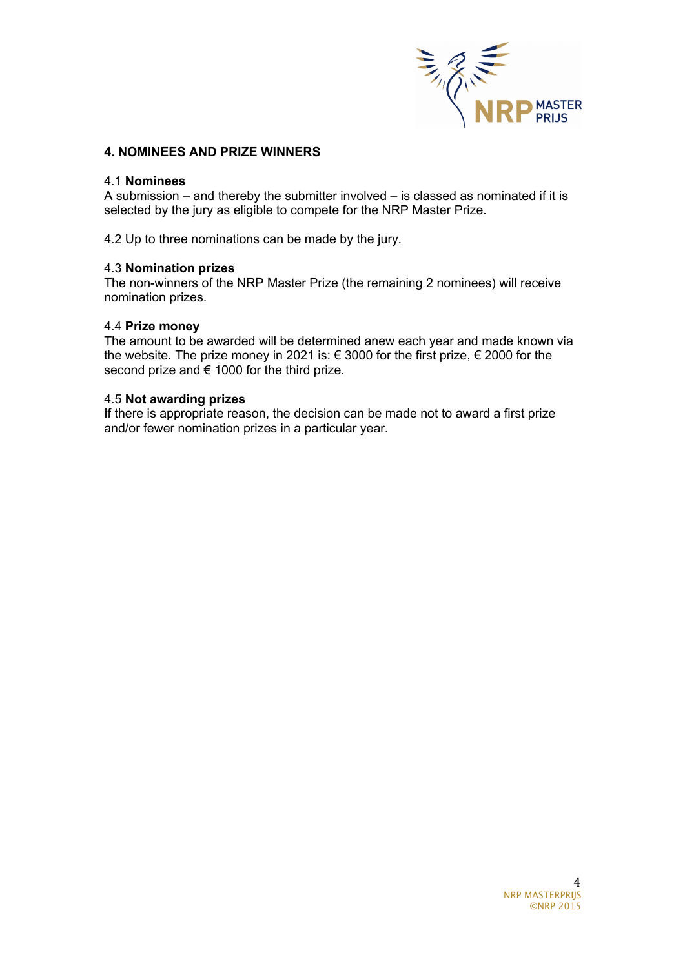

### **4. NOMINEES AND PRIZE WINNERS**

#### 4.1 **Nominees**

A submission – and thereby the submitter involved – is classed as nominated if it is selected by the jury as eligible to compete for the NRP Master Prize.

4.2 Up to three nominations can be made by the jury.

#### 4.3 **Nomination prizes**

The non-winners of the NRP Master Prize (the remaining 2 nominees) will receive nomination prizes.

#### 4.4 **Prize money**

The amount to be awarded will be determined anew each year and made known via the website. The prize money in 2021 is: € 3000 for the first prize, € 2000 for the second prize and € 1000 for the third prize.

#### 4.5 **Not awarding prizes**

If there is appropriate reason, the decision can be made not to award a first prize and/or fewer nomination prizes in a particular year.